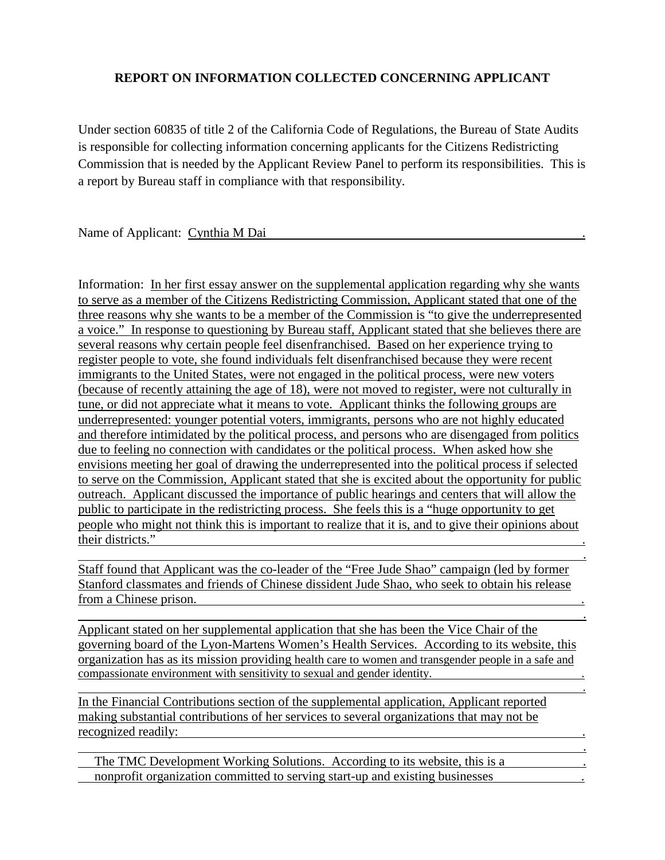## **REPORT ON INFORMATION COLLECTED CONCERNING APPLICANT**

Under section 60835 of title 2 of the California Code of Regulations, the Bureau of State Audits is responsible for collecting information concerning applicants for the Citizens Redistricting Commission that is needed by the Applicant Review Panel to perform its responsibilities. This is a report by Bureau staff in compliance with that responsibility.

Name of Applicant: Cynthia M Dai .

Information: In her first essay answer on the supplemental application regarding why she wants to serve as a member of the Citizens Redistricting Commission, Applicant stated that one of the three reasons why she wants to be a member of the Commission is "to give the underrepresented a voice." In response to questioning by Bureau staff, Applicant stated that she believes there are several reasons why certain people feel disenfranchised. Based on her experience trying to register people to vote, she found individuals felt disenfranchised because they were recent immigrants to the United States, were not engaged in the political process, were new voters (because of recently attaining the age of 18), were not moved to register, were not culturally in tune, or did not appreciate what it means to vote. Applicant thinks the following groups are underrepresented: younger potential voters, immigrants, persons who are not highly educated and therefore intimidated by the political process, and persons who are disengaged from politics due to feeling no connection with candidates or the political process. When asked how she envisions meeting her goal of drawing the underrepresented into the political process if selected to serve on the Commission, Applicant stated that she is excited about the opportunity for public outreach. Applicant discussed the importance of public hearings and centers that will allow the public to participate in the redistricting process. She feels this is a "huge opportunity to get people who might not think this is important to realize that it is, and to give their opinions about their districts."

Staff found that Applicant was the co-leader of the "Free Jude Shao" campaign (led by former Stanford classmates and friends of Chinese dissident Jude Shao, who seek to obtain his release from a Chinese prison. .

<u>. Andre Sterne and Sterne and Sterne and Sterne and Sterne and Sterne and Sterne and Sterne and Sterne and St</u>

Applicant stated on her supplemental application that she has been the Vice Chair of the governing board of the Lyon-Martens Women's Health Services. According to its website, this organization has as its mission providing health care to women and transgender people in a safe and compassionate environment with sensitivity to sexual and gender identity. .

.

<u>. Andre Sterne and Sterne and Sterne and Sterne and Sterne and Sterne and Sterne and Sterne and Sterne and St</u>

.

In the Financial Contributions section of the supplemental application, Applicant reported making substantial contributions of her services to several organizations that may not be recognized readily: .

The TMC Development Working Solutions. According to its website, this is a nonprofit organization committed to serving start-up and existing businesses .